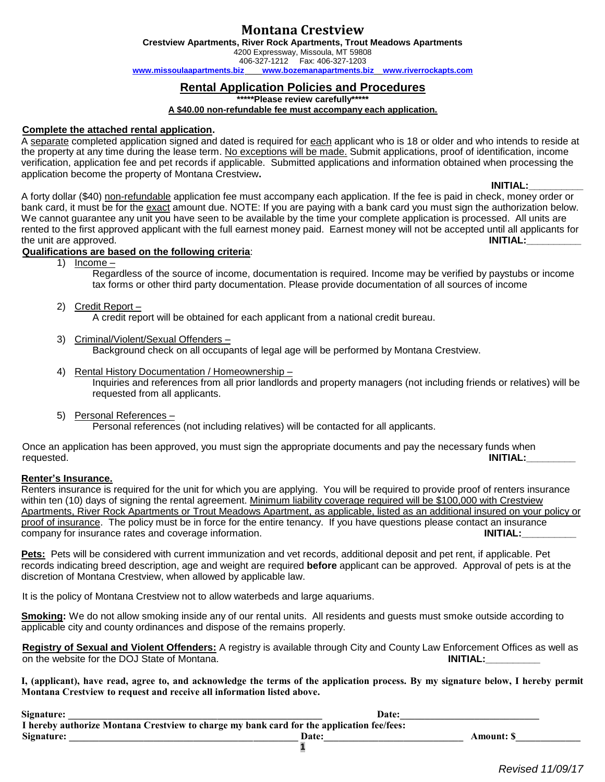# **Montana Crestview**

**Crestview Apartments, River Rock Apartments, Trout Meadows Apartments** 4200 Expressway, Missoula, MT 59808 406-327-1212 Fax: 406-327-1203 **[www.missoulaapartments.biz](http://www.missoulaapartments.biz/) [www.bozemanapartments.biz](http://www.bozemanapartments.biz/) [www.riverrockapts.com](http://www.riverrockapts.com/)**

# **Rental Application Policies and Procedures**

**\*\*\*\*\*Please review carefully\*\*\*\*\***

#### **A \$40.00 non-refundable fee must accompany each application.**

# **Complete the attached rental application.**

A separate completed application signed and dated is required for each applicant who is 18 or older and who intends to reside at the property at any time during the lease term. No exceptions will be made. Submit applications, proof of identification, income verification, application fee and pet records if applicable. Submitted applications and information obtained when processing the application become the property of Montana Crestview**.** 

### **INITIAL:\_\_\_\_\_\_\_\_\_\_**

A forty dollar (\$40) non-refundable application fee must accompany each application. If the fee is paid in check, money order or bank card, it must be for the exact amount due. NOTE: If you are paying with a bank card you must sign the authorization below. We cannot quarantee any unit you have seen to be available by the time your complete application is processed. All units are rented to the first approved applicant with the full earnest money paid. Earnest money will not be accepted until all applicants for the unit are approved. **INITIAL: INITIAL:** 

# **Qualifications are based on the following criteria**:

1) Income –

Regardless of the source of income, documentation is required. Income may be verified by paystubs or income tax forms or other third party documentation. Please provide documentation of all sources of income

# 2) Credit Report –

A credit report will be obtained for each applicant from a national credit bureau.

- 3) Criminal/Violent/Sexual Offenders Background check on all occupants of legal age will be performed by Montana Crestview.
- 4) Rental History Documentation / Homeownership Inquiries and references from all prior landlords and property managers (not including friends or relatives) will be requested from all applicants.
- 5) Personal References Personal references (not including relatives) will be contacted for all applicants.

Once an application has been approved, you must sign the appropriate documents and pay the necessary funds when requested. **INITIAL:\_\_\_\_\_\_\_\_\_**

### **Renter's Insurance.**

Renters insurance is required for the unit for which you are applying. You will be required to provide proof of renters insurance within ten (10) days of signing the rental agreement. Minimum liability coverage required will be \$100,000 with Crestview Apartments, River Rock Apartments or Trout Meadows Apartment, as applicable, listed as an additional insured on your policy or proof of insurance. The policy must be in force for the entire tenancy. If you have questions please contact an insurance company for insurance rates and coverage information. **INITIAL: INITIAL:** 

**Pets:** Pets will be considered with current immunization and vet records, additional deposit and pet rent, if applicable. Pet records indicating breed description, age and weight are required **before** applicant can be approved. Approval of pets is at the discretion of Montana Crestview, when allowed by applicable law.

It is the policy of Montana Crestview not to allow waterbeds and large aquariums.

**Smoking:** We do not allow smoking inside any of our rental units. All residents and guests must smoke outside according to applicable city and county ordinances and dispose of the remains properly.

**Registry of Sexual and Violent Offenders:** A registry is available through City and County Law Enforcement Offices as well as on the website for the DOJ State of Montana.

**I, (applicant), have read, agree to, and acknowledge the terms of the application process. By my signature below, I hereby permit Montana Crestview to request and receive all information listed above.**

| Signature:                                                                                | Date: |                  |
|-------------------------------------------------------------------------------------------|-------|------------------|
| I hereby authorize Montana Crestview to charge my bank card for the application fee/fees: |       |                  |
| Signature:                                                                                | Date: | <b>Amount: S</b> |
|                                                                                           |       |                  |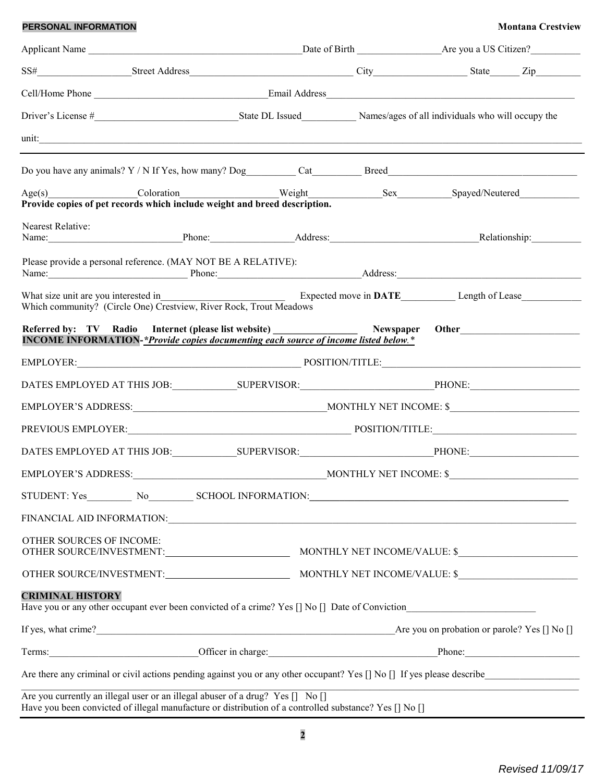# **PERSONAL INFORMATION Montana Crestview**

| unit: <u>contract and contract and contract and contract and contract and contract and contract and contract and contract and contract and contract and contract and contract and contract and contract and contract and contrac</u> |  |  |                                                                                                                                                                                                                                |  |
|--------------------------------------------------------------------------------------------------------------------------------------------------------------------------------------------------------------------------------------|--|--|--------------------------------------------------------------------------------------------------------------------------------------------------------------------------------------------------------------------------------|--|
|                                                                                                                                                                                                                                      |  |  |                                                                                                                                                                                                                                |  |
| Provide copies of pet records which include weight and breed description.                                                                                                                                                            |  |  | Age(s) Coloration Coloration Weight Sex Spayed/Neutered                                                                                                                                                                        |  |
| Nearest Relative:                                                                                                                                                                                                                    |  |  | Name: Phone: Phone: Address: Address: Relationship: Relationship:                                                                                                                                                              |  |
| Please provide a personal reference. (MAY NOT BE A RELATIVE):                                                                                                                                                                        |  |  | Name: Phone: Phone: Address: Address:                                                                                                                                                                                          |  |
| What size unit are you interested in<br>Which community? (Circle One) Crestview, River Rock, Trout Meadows                                                                                                                           |  |  | Expected move in DATE_______________Length of Lease______________________________                                                                                                                                              |  |
| <b>INCOME INFORMATION-*Provide copies documenting each source of income listed below.*</b>                                                                                                                                           |  |  | Referred by: TV Radio Internet (please list website) Newspaper Other                                                                                                                                                           |  |
|                                                                                                                                                                                                                                      |  |  |                                                                                                                                                                                                                                |  |
|                                                                                                                                                                                                                                      |  |  |                                                                                                                                                                                                                                |  |
|                                                                                                                                                                                                                                      |  |  |                                                                                                                                                                                                                                |  |
|                                                                                                                                                                                                                                      |  |  |                                                                                                                                                                                                                                |  |
|                                                                                                                                                                                                                                      |  |  |                                                                                                                                                                                                                                |  |
|                                                                                                                                                                                                                                      |  |  |                                                                                                                                                                                                                                |  |
|                                                                                                                                                                                                                                      |  |  |                                                                                                                                                                                                                                |  |
|                                                                                                                                                                                                                                      |  |  |                                                                                                                                                                                                                                |  |
| OTHER SOURCES OF INCOME:                                                                                                                                                                                                             |  |  |                                                                                                                                                                                                                                |  |
|                                                                                                                                                                                                                                      |  |  |                                                                                                                                                                                                                                |  |
| <b>CRIMINAL HISTORY</b><br>Have you or any other occupant ever been convicted of a crime? Yes [] No [] Date of Conviction                                                                                                            |  |  |                                                                                                                                                                                                                                |  |
|                                                                                                                                                                                                                                      |  |  |                                                                                                                                                                                                                                |  |
|                                                                                                                                                                                                                                      |  |  | Terms: Phone: Phone: Phone: Phone: Phone: Phone: Phone: Phone: Phone: Phone: Phone: Phone: Phone: Phone: Phone: Phone: Phone: Phone: Phone: Phone: Phone: Phone: Phone: Phone: Phone: Phone: Phone: Phone: Phone: Phone: Phone |  |
|                                                                                                                                                                                                                                      |  |  | Are there any criminal or civil actions pending against you or any other occupant? Yes [] No [] If yes please describe                                                                                                         |  |
| Are you currently an illegal user or an illegal abuser of a drug? Yes [] No []<br>Have you been convicted of illegal manufacture or distribution of a controlled substance? Yes [] No []                                             |  |  |                                                                                                                                                                                                                                |  |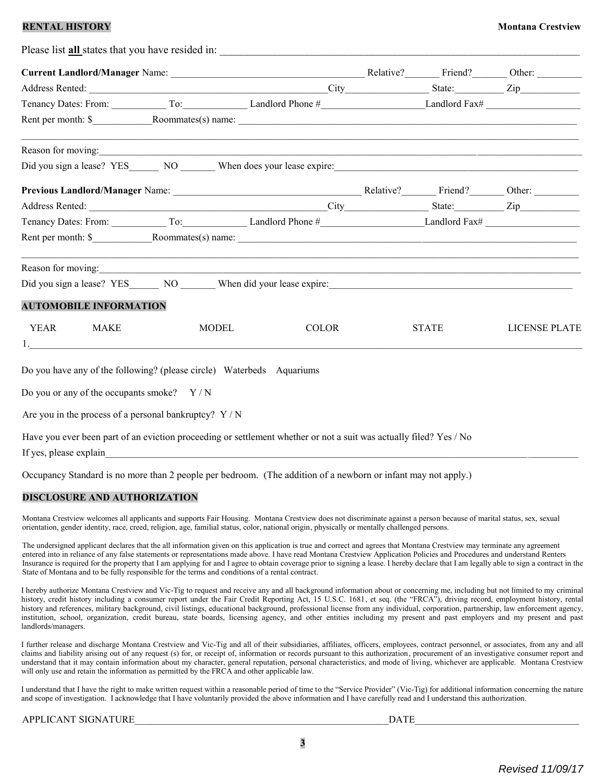# **RENTAL HISTORY** MONEY AND RESERVE AND RESERVE AND MONEY AND MONEY AND MONEY AND MONEY AND MONEY AND MONEY AND MONEY AND MONEY AND MONEY AND MONEY AND MONEY AND MONEY AND MONEY AND MONEY AND MONEY AND MONEY AND MONEY AND M

|                                                                       |              | Please list <b>all</b> states that you have resided in:                                                                                                                                                                        |              |                      |
|-----------------------------------------------------------------------|--------------|--------------------------------------------------------------------------------------------------------------------------------------------------------------------------------------------------------------------------------|--------------|----------------------|
|                                                                       |              |                                                                                                                                                                                                                                |              |                      |
|                                                                       |              |                                                                                                                                                                                                                                |              |                      |
|                                                                       |              | Tenancy Dates: From: To: To: Landlord Phone # Landlord Phone Dandlord Fax# Landlord Ext Landlord Ext Landlord Ext Landlord Ext Landlord Ext Landlord Ext Landlord Ext Landlord Ext Landlord Ext Landlord Ext Landlord Ext Land |              |                      |
|                                                                       |              |                                                                                                                                                                                                                                |              |                      |
| Reason for moving:                                                    |              | <u> 1999 - Jan Samuel Barbara, margaret amerikan bahasa dalam bahasa dalam bahasa dalam bahasa dalam bahasa dala</u>                                                                                                           |              |                      |
|                                                                       |              |                                                                                                                                                                                                                                |              |                      |
|                                                                       |              |                                                                                                                                                                                                                                |              |                      |
|                                                                       |              |                                                                                                                                                                                                                                |              |                      |
|                                                                       |              |                                                                                                                                                                                                                                |              |                      |
|                                                                       |              |                                                                                                                                                                                                                                |              |                      |
| Reason for moving:                                                    |              | ,我们也不能在这里的人,我们也不能在这里的人,我们也不能在这里的人,我们也不能在这里的人,我们也不能在这里的人,我们也不能在这里的人,我们也不能在这里的人,我们也                                                                                                                                              |              |                      |
|                                                                       |              |                                                                                                                                                                                                                                |              |                      |
| <b>AUTOMOBILE INFORMATION</b>                                         |              |                                                                                                                                                                                                                                |              |                      |
| <b>YEAR</b><br><b>MAKE</b><br>1. $\qquad \qquad$                      | <b>MODEL</b> | <b>COLOR</b>                                                                                                                                                                                                                   | <b>STATE</b> | <b>LICENSE PLATE</b> |
| Do you have any of the following? (please circle) Waterbeds Aquariums |              |                                                                                                                                                                                                                                |              |                      |
| Do you or any of the occupants smoke? $Y/N$                           |              |                                                                                                                                                                                                                                |              |                      |
| Are you in the process of a personal bankruptcy? $Y/N$                |              |                                                                                                                                                                                                                                |              |                      |
| If yes, please explain                                                |              | Have you ever been part of an eviction proceeding or settlement whether or not a suit was actually filed? Yes / No                                                                                                             |              |                      |

Occupancy Standard is no more than 2 people per bedroom. (The addition of a newborn or infant may not apply.)

### **DISCLOSURE AND AUTHORIZATION**

Montana Crestview welcomes all applicants and supports Fair Housing. Montana Crestview does not discriminate against a person because of marital status, sex, sexual orientation, gender identity, race, creed, religion, age, familial status, color, national origin, physically or mentally challenged persons.

The undersigned applicant declares that the all information given on this application is true and correct and agrees that Montana Crestview may terminate any agreement entered into in reliance of any false statements or representations made above. I have read Montana Crestview Application Policies and Procedures and understand Renters Insurance is required for the property that I am applying for and I agree to obtain coverage prior to signing a lease. I hereby declare that I am legally able to sign a contract in the State of Montana and to be fully responsible for the terms and conditions of a rental contract.

I hereby authorize Montana Crestview and Vic-Tig to request and receive any and all background information about or concerning me, including but not limited to my criminal history, credit history including a consumer report under the Fair Credit Reporting Act, 15 U.S.C. 1681, et seq. (the "FRCA"), driving record, employment history, rental history and references, military background, civil listings, educational background, professional license from any individual, corporation, partnership, law enforcement agency, institution, school, organization, credit bureau, state boards, licensing agency, and other entities including my present and past employers and my present and past landlords/managers.

I further release and discharge Montana Crestview and Vic-Tig and all of their subsidiaries, affiliates, officers, employees, contract personnel, or associates, from any and all claims and liability arising out of any request (s) for, or receipt of, information or records pursuant to this authorization, procurement of an investigative consumer report and understand that it may contain information about my character, general reputation, personal characteristics, and mode of living, whichever are applicable. Montana Crestview will only use and retain the information as permitted by the FRCA and other applicable law.

I understand that I have the right to make written request within a reasonable period of time to the "Service Provider" (Vic-Tig) for additional information concerning the nature and scope of investigation. I acknowledge that I have voluntarily provided the above information and I have carefully read and I understand this authorization.

| <b>APPLICANT SIGNATURE</b> | DATE |  |
|----------------------------|------|--|
|                            |      |  |